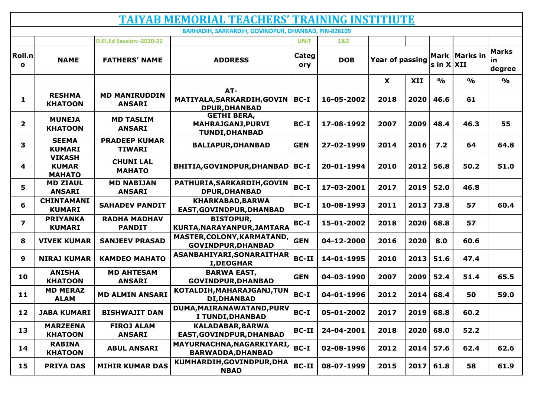| <b>TAIYAB MEMORIAL TEACHERS' TRAINING INSTITIUTE</b> |                                                |                                       |                                                                         |              |            |                 |      |                                 |               |                                     |  |  |
|------------------------------------------------------|------------------------------------------------|---------------------------------------|-------------------------------------------------------------------------|--------------|------------|-----------------|------|---------------------------------|---------------|-------------------------------------|--|--|
| BARHADIH, SARKARDIH, GOVINDPUR, DHANBAD, PIN-828109  |                                                |                                       |                                                                         |              |            |                 |      |                                 |               |                                     |  |  |
|                                                      |                                                | D.El.Ed Session:-2020-22              |                                                                         | <b>UNIT</b>  | 1&2        |                 |      |                                 |               |                                     |  |  |
| Roll.n<br>$\mathbf{o}$                               | <b>NAME</b>                                    | <b>FATHERS' NAME</b>                  | <b>ADDRESS</b>                                                          | Categ<br>ory | <b>DOB</b> | Year of passing |      | Mark   Marks in<br>s in $X$ XII |               | <b>Marks</b><br><u>in</u><br>degree |  |  |
|                                                      |                                                |                                       |                                                                         |              |            | X               | XII  | $\frac{0}{0}$                   | $\frac{0}{0}$ | $\frac{1}{2}$                       |  |  |
| 1                                                    | <b>RESHMA</b><br><b>KHATOON</b>                | <b>MD MANIRUDDIN</b><br><b>ANSARI</b> | $AT-$<br>MATIYALA, SARKARDIH, GOVIN<br><b>DPUR, DHANBAD</b>             | $ BC-I $     | 16-05-2002 | 2018            | 2020 | 46.6                            | 61            |                                     |  |  |
| $\overline{2}$                                       | <b>MUNEJA</b><br><b>KHATOON</b>                | <b>MD TASLIM</b><br><b>ANSARI</b>     | <b>GETHI BERA,</b><br><b>MAHRAJGANJ, PURVI</b><br><b>TUNDI, DHANBAD</b> | BC-I         | 17-08-1992 | 2007            | 2009 | 48.4                            | 46.3          | 55                                  |  |  |
| 3                                                    | <b>SEEMA</b><br><b>KUMARI</b>                  | <b>PRADEEP KUMAR</b><br><b>TIWARI</b> | <b>BALIAPUR, DHANBAD</b>                                                | <b>GEN</b>   | 27-02-1999 | 2014            | 2016 | 7.2                             | 64            | 64.8                                |  |  |
| 4                                                    | <b>VIKASH</b><br><b>KUMAR</b><br><b>MAHATO</b> | <b>CHUNI LAL</b><br><b>MAHATO</b>     | BHITIA, GOVINDPUR, DHANBAD                                              | BC-I         | 20-01-1994 | 2010            | 2012 | 56.8                            | 50.2          | 51.0                                |  |  |
| 5                                                    | <b>MD ZIAUL</b><br><b>ANSARI</b>               | <b>MD NABIJAN</b><br><b>ANSARI</b>    | PATHURIA, SARKARDIH, GOVIN<br><b>DPUR, DHANBAD</b>                      | BC-I         | 17-03-2001 | 2017            | 2019 | 52.0                            | 46.8          |                                     |  |  |
| 6                                                    | <b>CHINTAMANI</b><br><b>KUMARI</b>             | <b>SAHADEV PANDIT</b>                 | KHARKABAD, BARWA<br>EAST, GOVINDPUR, DHANBAD                            | $BC-I$       | 10-08-1993 | 2011            | 2013 | 73.8                            | 57            | 60.4                                |  |  |
| $\overline{\mathbf{z}}$                              | <b>PRIYANKA</b><br><b>KUMARI</b>               | <b>RADHA MADHAV</b><br><b>PANDIT</b>  | <b>BISTOPUR,</b><br>KURTA, NARAYANPUR, JAMTARA                          | $BC-I$       | 15-01-2002 | 2018            | 2020 | 68.8                            | 57            |                                     |  |  |
| 8                                                    | <b>VIVEK KUMAR</b>                             | <b>SANJEEV PRASAD</b>                 | MASTER, COLONY, KARMATAND,<br><b>GOVINDPUR, DHANBAD</b>                 | <b>GEN</b>   | 04-12-2000 | 2016            | 2020 | 8.0                             | 60.6          |                                     |  |  |
| 9                                                    | <b>NIRAJ KUMAR</b>                             | <b>KAMDEO MAHATO</b>                  | ASANBAHIYARI, SONARAITHAR<br><b>I,DEOGHAR</b>                           | <b>BC-II</b> | 14-01-1995 | 2010            | 2013 | 51.6                            | 47.4          |                                     |  |  |
| 10                                                   | <b>ANISHA</b><br><b>KHATOON</b>                | <b>MD AHTESAM</b><br><b>ANSARI</b>    | <b>BARWA EAST,</b><br><b>GOVINDPUR, DHANBAD</b>                         | <b>GEN</b>   | 04-03-1990 | 2007            | 2009 | 52.4                            | 51.4          | 65.5                                |  |  |
| 11                                                   | <b>MD MERAZ</b><br><b>ALAM</b>                 | <b>MD ALMIN ANSARI</b>                | KOTALDIH, MAHARAJGANJ, TUN<br><b>DI, DHANBAD</b>                        | BC-I         | 04-01-1996 | 2012            | 2014 | 68.4                            | 50            | 59.0                                |  |  |
| 12                                                   | <b>JABA KUMARI</b>                             | <b>BISHWAJIT DAN</b>                  | DUMA, MAIRANAWATAND, PURV<br>I TUNDI, DHANBAD                           | BC-I         | 05-01-2002 | 2017            | 2019 | 68.8                            | 60.2          |                                     |  |  |
| 13                                                   | <b>MARZEENA</b><br><b>KHATOON</b>              | <b>FIROJ ALAM</b><br><b>ANSARI</b>    | <b>KALADABAR, BARWA</b><br>EAST, GOVINDPUR, DHANBAD                     | BC-II        | 24-04-2001 | 2018            | 2020 | 68.0                            | 52.2          |                                     |  |  |
| 14                                                   | <b>RABINA</b><br><b>KHATOON</b>                | <b>ABUL ANSARI</b>                    | MAYURNACHNA, NAGARKIYARI,<br><b>BARWADDA, DHANBAD</b>                   | BC-I         | 02-08-1996 | 2012            | 2014 | 57.6                            | 62.4          | 62.6                                |  |  |
| 15                                                   | <b>PRIYA DAS</b>                               | <b>MIHIR KUMAR DAS</b>                | KUMHARDIH, GOVINDPUR, DHA<br><b>NBAD</b>                                | <b>BC-II</b> | 08-07-1999 | 2015            | 2017 | 61.8                            | 58            | 61.9                                |  |  |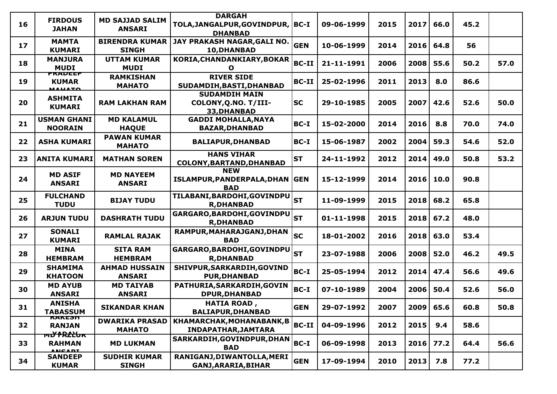| <b>FIRDOUS</b><br><b>JAHAN</b>       | <b>MD SAJJAD SALIM</b><br><b>ANSARI</b>                                                          | <b>DHANBAD</b>                                              |               | 09-06-1999                                                                                                                                                         | 2015 | 2017 | 66.0 | 45.2                                                                                      |      |
|--------------------------------------|--------------------------------------------------------------------------------------------------|-------------------------------------------------------------|---------------|--------------------------------------------------------------------------------------------------------------------------------------------------------------------|------|------|------|-------------------------------------------------------------------------------------------|------|
| <b>MAMTA</b><br><b>KUMARI</b>        | <b>BIRENDRA KUMAR</b><br><b>SINGH</b>                                                            | JAY PRAKASH NAGAR, GALI NO.<br>10, DHANBAD                  |               | 10-06-1999                                                                                                                                                         | 2014 |      | 64.8 | 56                                                                                        |      |
| <b>MANJURA</b><br><b>MUDI</b>        | <b>UTTAM KUMAR</b><br><b>MUDI</b>                                                                | KORIA, CHANDANKIARY, BOKAR<br>O                             | <b>BC-II</b>  | 21-11-1991                                                                                                                                                         | 2006 | 2008 | 55.6 | 50.2                                                                                      | 57.0 |
| <b>KUMAR</b><br><b>MALIATO</b>       | <b>RAMKISHAN</b><br><b>MAHATO</b>                                                                | <b>RIVER SIDE</b><br>SUDAMDIH, BASTI, DHANBAD               | <b>BC-II</b>  | 25-02-1996                                                                                                                                                         | 2011 | 2013 | 8.0  | 86.6                                                                                      |      |
| <b>ASHMITA</b><br><b>KUMARI</b>      | <b>RAM LAKHAN RAM</b>                                                                            | <b>SUDAMDIH MAIN</b><br>COLONY, Q.NO. T/III-<br>33, DHANBAD |               | 29-10-1985                                                                                                                                                         | 2005 | 2007 | 42.6 | 52.6                                                                                      | 50.0 |
| <b>USMAN GHANI</b><br><b>NOORAIN</b> | <b>MD KALAMUL</b><br><b>HAQUE</b>                                                                | <b>GADDI MOHALLA, NAYA</b><br><b>BAZAR, DHANBAD</b>         | <b>BC-I</b>   | 15-02-2000                                                                                                                                                         | 2014 | 2016 | 8.8  | 70.0                                                                                      | 74.0 |
| <b>ASHA KUMARI</b>                   | <b>PAWAN KUMAR</b><br><b>MAHATO</b>                                                              | <b>BALIAPUR, DHANBAD</b>                                    | BC-I          | 15-06-1987                                                                                                                                                         | 2002 | 2004 | 59.3 | 54.6                                                                                      | 52.0 |
|                                      | <b>MATHAN SOREN</b>                                                                              | <b>HANS VIHAR</b><br>COLONY, BARTAND, DHANBAD               |               | 24-11-1992                                                                                                                                                         | 2012 | 2014 | 49.0 | 50.8                                                                                      | 53.2 |
| <b>MD ASIF</b><br><b>ANSARI</b>      | <b>MD NAYEEM</b><br><b>ANSARI</b>                                                                | <b>NEW</b><br><b>BAD</b>                                    |               | 15-12-1999                                                                                                                                                         | 2014 |      | 10.0 | 90.8                                                                                      |      |
| <b>FULCHAND</b><br><b>TUDU</b>       | <b>BIJAY TUDU</b>                                                                                | TILABANI, BARDOHI, GOVINDPU<br><b>R,DHANBAD</b>             |               | 11-09-1999                                                                                                                                                         | 2015 |      | 68.2 | 65.8                                                                                      |      |
| <b>ARJUN TUDU</b>                    | <b>DASHRATH TUDU</b>                                                                             | GARGARO, BARDOHI, GOVINDPU<br><b>R,DHANBAD</b>              |               | 01-11-1998                                                                                                                                                         | 2015 |      |      | 48.0                                                                                      |      |
| <b>SONALI</b><br><b>KUMARI</b>       | <b>RAMLAL RAJAK</b>                                                                              | RAMPUR, MAHARAJGANJ, DHAN<br><b>BAD</b>                     |               | 18-01-2002                                                                                                                                                         | 2016 |      | 63.0 | 53.4                                                                                      |      |
| <b>MINA</b><br><b>HEMBRAM</b>        | <b>SITA RAM</b><br><b>HEMBRAM</b>                                                                | GARGARO, BARDOHI, GOVINDPU<br><b>R,DHANBAD</b>              |               | 23-07-1988                                                                                                                                                         | 2006 | 2008 | 52.0 | 46.2                                                                                      | 49.5 |
| <b>SHAMIMA</b><br><b>KHATOON</b>     | <b>AHMAD HUSSAIN</b><br><b>ANSARI</b>                                                            | SHIVPUR, SARKARDIH, GOVIND<br><b>PUR, DHANBAD</b>           |               | 25-05-1994                                                                                                                                                         | 2012 |      | 47.4 | 56.6                                                                                      | 49.6 |
| <b>MD AYUB</b><br><b>ANSARI</b>      | <b>MD TAIYAB</b><br><b>ANSARI</b>                                                                | PATHURIA, SARKARDIH, GOVIN<br>DPUR, DHANBAD                 | <b>BC-I</b>   | 07-10-1989                                                                                                                                                         | 2004 | 2006 | 50.4 | 52.6                                                                                      | 56.0 |
| <b>ANISHA</b><br><b>TABASSUM</b>     | <b>SIKANDAR KHAN</b>                                                                             | <b>HATIA ROAD,</b><br><b>BALIAPUR, DHANBAD</b>              |               | 29-07-1992                                                                                                                                                         | 2007 |      |      | 60.8                                                                                      | 50.8 |
| <b>RANJAN</b>                        | <b>DWARIKA PRASAD</b><br><b>MAHATO</b>                                                           | KHAMARCHAK, MOHANABANK, B<br><b>INDAPATHAR, JAMTARA</b>     |               | 04-09-1996                                                                                                                                                         | 2012 | 2015 | 9.4  | 58.6                                                                                      |      |
| <b>RAHMAN</b>                        | <b>MD LUKMAN</b>                                                                                 | SARKARDIH, GOVINDPUR, DHAN<br><b>BAD</b>                    |               | 06-09-1998                                                                                                                                                         | 2013 |      |      | 64.4                                                                                      | 56.6 |
| <b>SANDEEP</b><br><b>KUMAR</b>       | <b>SUDHIR KUMAR</b><br><b>SINGH</b>                                                              | RANIGANJ, DIWANTOLLA, MERI<br>GANJ, ARARIA, BIHAR           | <b>GEN</b>    | 17-09-1994                                                                                                                                                         | 2010 |      | 7.8  | 77.2                                                                                      |      |
|                                      | <b>FRADEEP</b><br><b>ANITA KUMARI</b><br><b>RANESH</b><br><del>mď fR2ĽUrc</del><br><b>ANCADI</b> |                                                             | <b>DARGAH</b> | TOLA, JANGALPUR, GOVINDPUR,  BC-I<br><b>GEN</b><br>lsc<br>lst<br>ISLAMPUR, PANDERPALA, DHAN GEN<br>lst<br>lsт<br>lsc<br>lst<br>BC-I<br><b>GEN</b><br>BC-II<br>BC-I |      |      |      | 2016<br>2016<br>2018<br>$2018$ 67.2<br>2018<br>2014<br>$2009$ 65.6<br>$2016$ 77.2<br>2013 |      |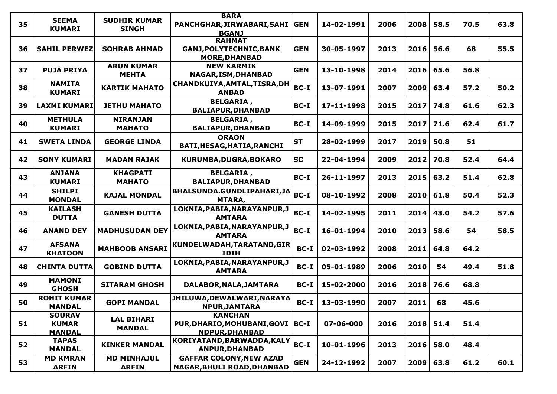| 35 | <b>SEEMA</b><br><b>KUMARI</b>                  | <b>SUDHIR KUMAR</b><br><b>SINGH</b> | <b>BARA</b><br>PANCHGHAR, JIRWABARI, SAHI<br><b>BGANJ</b>               | <b>GEN</b> | 14-02-1991 | 2006 | 2008      | 58.5 | 70.5 | 63.8 |
|----|------------------------------------------------|-------------------------------------|-------------------------------------------------------------------------|------------|------------|------|-----------|------|------|------|
| 36 | <b>SAHIL PERWEZ</b>                            | <b>SOHRAB AHMAD</b>                 | <b>RAHMAT</b><br><b>GANJ, POLYTECHNIC, BANK</b><br><b>MORE, DHANBAD</b> | <b>GEN</b> | 30-05-1997 | 2013 | 2016      | 56.6 | 68   | 55.5 |
| 37 | <b>PUJA PRIYA</b>                              | <b>ARUN KUMAR</b><br><b>MEHTA</b>   | <b>NEW KARMIK</b><br>NAGAR, ISM, DHANBAD                                | <b>GEN</b> | 13-10-1998 | 2014 | 2016      | 65.6 | 56.8 |      |
| 38 | <b>NAMITA</b><br><b>KUMARI</b>                 | <b>KARTIK MAHATO</b>                | CHANDKUIYA, AMTAL, TISRA, DH<br><b>ANBAD</b>                            | BC-I       | 13-07-1991 | 2007 | 2009      | 63.4 | 57.2 | 50.2 |
| 39 | <b>LAXMI KUMARI</b>                            | <b>JETHU MAHATO</b>                 | <b>BELGARIA,</b><br><b>BALIAPUR, DHANBAD</b>                            | BC-I       | 17-11-1998 | 2015 | 2017      | 74.8 | 61.6 | 62.3 |
| 40 | <b>METHULA</b><br><b>KUMARI</b>                | <b>NIRANJAN</b><br><b>MAHATO</b>    | <b>BELGARIA,</b><br><b>BALIAPUR, DHANBAD</b>                            | $BC-I$     | 14-09-1999 | 2015 | 2017      | 71.6 | 62.4 | 61.7 |
| 41 | <b>SWETA LINDA</b>                             | <b>GEORGE LINDA</b>                 | <b>ORAON</b><br>BATI, HESAG, HATIA, RANCHI                              | <b>ST</b>  | 28-02-1999 | 2017 | 2019      | 50.8 | 51   |      |
| 42 | <b>SONY KUMARI</b>                             | <b>MADAN RAJAK</b>                  | KURUMBA, DUGRA, BOKARO                                                  | <b>SC</b>  | 22-04-1994 | 2009 | 2012      | 70.8 | 52.4 | 64.4 |
| 43 | <b>ANJANA</b><br><b>KUMARI</b>                 | <b>KHAGPATI</b><br><b>MAHATO</b>    | <b>BELGARIA,</b><br><b>BALIAPUR, DHANBAD</b>                            | BC-I       | 26-11-1997 | 2013 | 2015      | 63.2 | 51.4 | 62.8 |
| 44 | <b>SHILPI</b><br><b>MONDAL</b>                 | <b>KAJAL MONDAL</b>                 | BHALSUNDA.GUNDLIPAHARI,JA<br>MTARA,                                     | BC-I       | 08-10-1992 | 2008 | 2010      | 61.8 | 50.4 | 52.3 |
| 45 | <b>KAILASH</b><br><b>DUTTA</b>                 | <b>GANESH DUTTA</b>                 | LOKNIA, PABIA, NARAYANPUR, J<br><b>AMTARA</b>                           | BC-I       | 14-02-1995 | 2011 | 2014      | 43.0 | 54.2 | 57.6 |
| 46 | <b>ANAND DEY</b>                               | <b>MADHUSUDAN DEY</b>               | LOKNIA, PABIA, NARAYANPUR, J<br><b>AMTARA</b>                           | BC-I       | 16-01-1994 | 2010 | 2013      | 58.6 | 54   | 58.5 |
| 47 | <b>AFSANA</b><br><b>KHATOON</b>                | <b>MAHBOOB ANSARI</b>               | KUNDELWADAH, TARATAND, GIR<br><b>IDIH</b>                               | $BC-I$     | 02-03-1992 | 2008 | 2011      | 64.8 | 64.2 |      |
| 48 | <b>CHINTA DUTTA</b>                            | <b>GOBIND DUTTA</b>                 | LOKNIA, PABIA, NARAYANPUR, J<br><b>AMTARA</b>                           | $BC-I$     | 05-01-1989 | 2006 | 2010      | 54   | 49.4 | 51.8 |
| 49 | <b>MAMONI</b><br><b>GHOSH</b>                  | <b>SITARAM GHOSH</b>                | DALABOR, NALA, JAMTARA                                                  | $BC-I$     | 15-02-2000 | 2016 | 2018      | 76.6 | 68.8 |      |
| 50 | <b>ROHIT KUMAR</b><br><b>MANDAL</b>            | <b>GOPI MANDAL</b>                  | JHILUWA, DEWALWARI, NARAYA<br>NPUR, JAMTARA                             | $BC-I$     | 13-03-1990 | 2007 | 2011      | 68   | 45.6 |      |
| 51 | <b>SOURAV</b><br><b>KUMAR</b><br><b>MANDAL</b> | <b>LAL BIHARI</b><br><b>MANDAL</b>  | <b>KANCHAN</b><br>PUR, DHARIO, MOHUBANI, GOVI   BC-I<br>NDPUR, DHANBAD  |            | 07-06-000  | 2016 | 2018 51.4 |      | 51.4 |      |
| 52 | <b>TAPAS</b><br><b>MANDAL</b>                  | <b>KINKER MANDAL</b>                | KORIYATAND, BARWADDA, KALY BC-I<br><b>ANPUR, DHANBAD</b>                |            | 10-01-1996 | 2013 | 2016      | 58.0 | 48.4 |      |
| 53 | <b>MD KMRAN</b><br><b>ARFIN</b>                | <b>MD MINHAJUL</b><br><b>ARFIN</b>  | <b>GAFFAR COLONY, NEW AZAD</b><br>NAGAR, BHULI ROAD, DHANBAD            | <b>GEN</b> | 24-12-1992 | 2007 | 2009      | 63.8 | 61.2 | 60.1 |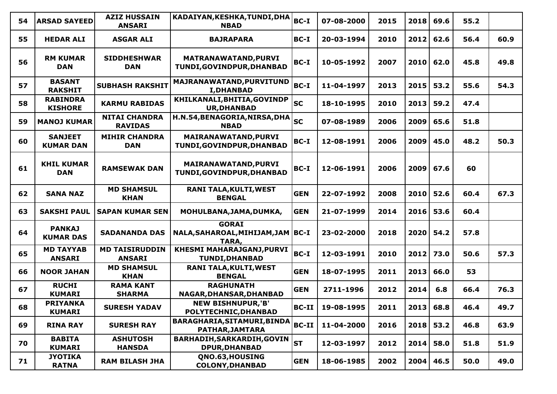| 54 | <b>ARSAD SAYEED</b>                | <b>AZIZ HUSSAIN</b><br><b>ANSARI</b>   | KADAIYAN, KESHKA, TUNDI, DHA<br><b>NBAD</b>                  | <b>BC-I</b>  | 07-08-2000 | 2015 | 2018 | 69.6 | 55.2 |      |
|----|------------------------------------|----------------------------------------|--------------------------------------------------------------|--------------|------------|------|------|------|------|------|
| 55 | <b>HEDAR ALI</b>                   | <b>ASGAR ALI</b>                       | <b>BAJRAPARA</b>                                             | $BC-I$       | 20-03-1994 | 2010 | 2012 | 62.6 | 56.4 | 60.9 |
| 56 | <b>RM KUMAR</b><br><b>DAN</b>      | <b>SIDDHESHWAR</b><br><b>DAN</b>       | MATRANAWATAND, PURVI<br>TUNDI, GOVINDPUR, DHANBAD            | BC-I         | 10-05-1992 | 2007 | 2010 | 62.0 | 45.8 | 49.8 |
| 57 | <b>BASANT</b><br><b>RAKSHIT</b>    | <b>SUBHASH RAKSHIT</b>                 | MAJRANAWATAND, PURVITUND<br><b>I, DHANBAD</b>                | <b>BC-I</b>  | 11-04-1997 | 2013 | 2015 | 53.2 | 55.6 | 54.3 |
| 58 | <b>RABINDRA</b><br><b>KISHORE</b>  | <b>KARMU RABIDAS</b>                   | KHILKANALI, BHITIA, GOVINDP<br><b>UR, DHANBAD</b>            | lsc          | 18-10-1995 | 2010 | 2013 | 59.2 | 47.4 |      |
| 59 | <b>MANOJ KUMAR</b>                 | <b>NITAI CHANDRA</b><br><b>RAVIDAS</b> | H.N.54, BENAGORIA, NIRSA, DHA<br><b>NBAD</b>                 | <b>SC</b>    | 07-08-1989 | 2006 | 2009 | 65.6 | 51.8 |      |
| 60 | <b>SANJEET</b><br><b>KUMAR DAN</b> | <b>MIHIR CHANDRA</b><br><b>DAN</b>     | MAIRANAWATAND, PURVI<br>TUNDI, GOVINDPUR, DHANBAD            | BC-I         | 12-08-1991 | 2006 | 2009 | 45.0 | 48.2 | 50.3 |
| 61 | <b>KHIL KUMAR</b><br><b>DAN</b>    | <b>RAMSEWAK DAN</b>                    | MAIRANAWATAND, PURVI<br>TUNDI, GOVINDPUR, DHANBAD            | BC-I         | 12-06-1991 | 2006 | 2009 | 67.6 | 60   |      |
| 62 | <b>SANA NAZ</b>                    | <b>MD SHAMSUL</b><br><b>KHAN</b>       | <b>RANI TALA, KULTI, WEST</b><br><b>BENGAL</b>               | <b>GEN</b>   | 22-07-1992 | 2008 | 2010 | 52.6 | 60.4 | 67.3 |
| 63 | <b>SAKSHI PAUL</b>                 | <b>SAPAN KUMAR SEN</b>                 | MOHULBANA, JAMA, DUMKA,                                      | <b>GEN</b>   | 21-07-1999 | 2014 | 2016 | 53.6 | 60.4 |      |
| 64 | <b>PANKAJ</b><br><b>KUMAR DAS</b>  | <b>SADANANDA DAS</b>                   | <b>GORAI</b><br>NALA, SAHAROAL, MIHIJAM, JAM   BC-I<br>TARA, |              | 23-02-2000 | 2018 | 2020 | 54.2 | 57.8 |      |
| 65 | <b>MD TAYYAB</b><br><b>ANSARI</b>  | <b>MD TAISIRUDDIN</b><br><b>ANSARI</b> | KHESMI MAHARAJGANJ, PURVI<br><b>TUNDI, DHANBAD</b>           | BC-I         | 12-03-1991 | 2010 | 2012 | 73.0 | 50.6 | 57.3 |
| 66 | <b>NOOR JAHAN</b>                  | <b>MD SHAMSUL</b><br><b>KHAN</b>       | <b>RANI TALA, KULTI, WEST</b><br><b>BENGAL</b>               | <b>GEN</b>   | 18-07-1995 | 2011 | 2013 | 66.0 | 53   |      |
| 67 | <b>RUCHI</b><br><b>KUMARI</b>      | <b>RAMA KANT</b><br><b>SHARMA</b>      | <b>RAGHUNATH</b><br>NAGAR, DHANSAR, DHANBAD                  | <b>GEN</b>   | 2711-1996  | 2012 | 2014 | 6.8  | 66.4 | 76.3 |
| 68 | <b>PRIYANKA</b><br><b>KUMARI</b>   | <b>SURESH YADAV</b>                    | <b>NEW BISHNUPUR,'B'</b><br>POLYTECHNIC, DHANBAD             | $BC-II$      | 19-08-1995 | 2011 | 2013 | 68.8 | 46.4 | 49.7 |
| 69 | <b>RINA RAY</b>                    | <b>SURESH RAY</b>                      | BARAGHARIA, SITAMURI, BINDA<br>PATHAR, JAMTARA               | <b>BC-II</b> | 11-04-2000 | 2016 | 2018 | 53.2 | 46.8 | 63.9 |
| 70 | <b>BABITA</b><br><b>KUMARI</b>     | <b>ASHUTOSH</b><br><b>HANSDA</b>       | BARHADIH, SARKARDIH, GOVIN<br><b>DPUR, DHANBAD</b>           | <b>ST</b>    | 12-03-1997 | 2012 | 2014 | 58.0 | 51.8 | 51.9 |
| 71 | <b>JYOTIKA</b><br><b>RATNA</b>     | <b>RAM BILASH JHA</b>                  | QNO.63, HOUSING<br><b>COLONY, DHANBAD</b>                    | <b>GEN</b>   | 18-06-1985 | 2002 | 2004 | 46.5 | 50.0 | 49.0 |